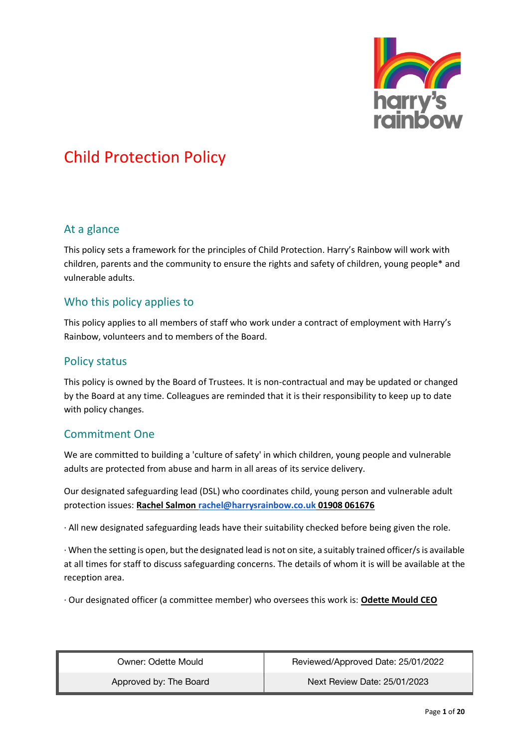

#### At a glance

This policy sets a framework for the principles of Child Protection. Harry's Rainbow will work with children, parents and the community to ensure the rights and safety of children, young people\* and vulnerable adults.

#### Who this policy applies to

This policy applies to all members of staff who work under a contract of employment with Harry's Rainbow, volunteers and to members of the Board.

#### Policy status

This policy is owned by the Board of Trustees. It is non-contractual and may be updated or changed by the Board at any time. Colleagues are reminded that it is their responsibility to keep up to date with policy changes.

#### Commitment One

We are committed to building a 'culture of safety' in which children, young people and vulnerable adults are protected from abuse and harm in all areas of its service delivery.

Our designated safeguarding lead (DSL) who coordinates child, young person and vulnerable adult protection issues: **Rachel Salmon [rachel@harrysrainbow.co.uk](mailto:rachel@harrysrainbow.co.uk) 01908 061676**

· All new designated safeguarding leads have their suitability checked before being given the role.

· When the setting is open, but the designated lead is not on site, a suitably trained officer/s is available at all times for staff to discuss safeguarding concerns. The details of whom it is will be available at the reception area.

· Our designated officer (a committee member) who oversees this work is: **Odette Mould CEO**

| Owner: Odette Mould    | Reviewed/Approved Date: 25/01/2022 |
|------------------------|------------------------------------|
| Approved by: The Board | Next Review Date: 25/01/2023       |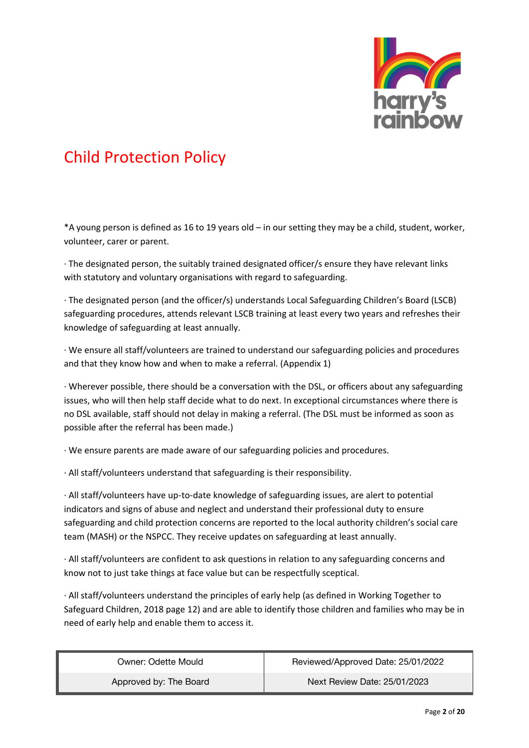

\*A young person is defined as 16 to 19 years old – in our setting they may be a child, student, worker, volunteer, carer or parent.

· The designated person, the suitably trained designated officer/s ensure they have relevant links with statutory and voluntary organisations with regard to safeguarding.

· The designated person (and the officer/s) understands Local Safeguarding Children's Board (LSCB) safeguarding procedures, attends relevant LSCB training at least every two years and refreshes their knowledge of safeguarding at least annually.

· We ensure all staff/volunteers are trained to understand our safeguarding policies and procedures and that they know how and when to make a referral. (Appendix 1)

· Wherever possible, there should be a conversation with the DSL, or officers about any safeguarding issues, who will then help staff decide what to do next. In exceptional circumstances where there is no DSL available, staff should not delay in making a referral. (The DSL must be informed as soon as possible after the referral has been made.)

· We ensure parents are made aware of our safeguarding policies and procedures.

· All staff/volunteers understand that safeguarding is their responsibility.

· All staff/volunteers have up-to-date knowledge of safeguarding issues, are alert to potential indicators and signs of abuse and neglect and understand their professional duty to ensure safeguarding and child protection concerns are reported to the local authority children's social care team (MASH) or the NSPCC. They receive updates on safeguarding at least annually.

· All staff/volunteers are confident to ask questions in relation to any safeguarding concerns and know not to just take things at face value but can be respectfully sceptical.

· All staff/volunteers understand the principles of early help (as defined in Working Together to Safeguard Children, 2018 page 12) and are able to identify those children and families who may be in need of early help and enable them to access it.

| Owner: Odette Mould    | Reviewed/Approved Date: 25/01/2022 |
|------------------------|------------------------------------|
| Approved by: The Board | Next Review Date: 25/01/2023       |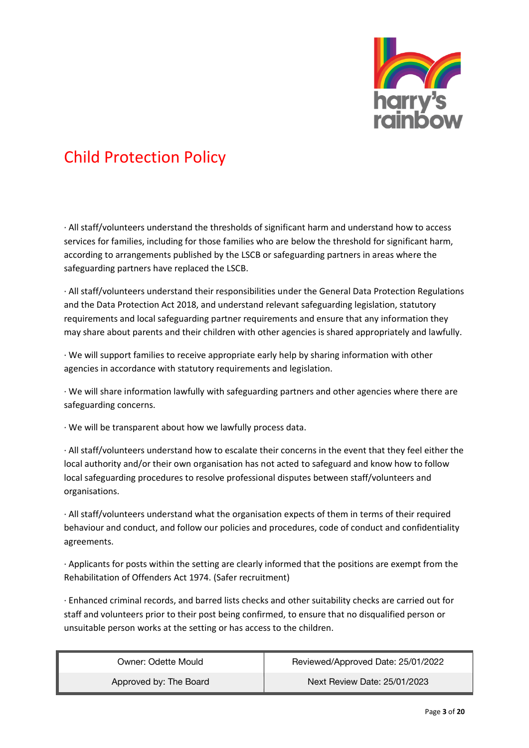

· All staff/volunteers understand the thresholds of significant harm and understand how to access services for families, including for those families who are below the threshold for significant harm, according to arrangements published by the LSCB or safeguarding partners in areas where the safeguarding partners have replaced the LSCB.

· All staff/volunteers understand their responsibilities under the General Data Protection Regulations and the Data Protection Act 2018, and understand relevant safeguarding legislation, statutory requirements and local safeguarding partner requirements and ensure that any information they may share about parents and their children with other agencies is shared appropriately and lawfully.

· We will support families to receive appropriate early help by sharing information with other agencies in accordance with statutory requirements and legislation.

· We will share information lawfully with safeguarding partners and other agencies where there are safeguarding concerns.

· We will be transparent about how we lawfully process data.

· All staff/volunteers understand how to escalate their concerns in the event that they feel either the local authority and/or their own organisation has not acted to safeguard and know how to follow local safeguarding procedures to resolve professional disputes between staff/volunteers and organisations.

· All staff/volunteers understand what the organisation expects of them in terms of their required behaviour and conduct, and follow our policies and procedures, code of conduct and confidentiality agreements.

· Applicants for posts within the setting are clearly informed that the positions are exempt from the Rehabilitation of Offenders Act 1974. (Safer recruitment)

· Enhanced criminal records, and barred lists checks and other suitability checks are carried out for staff and volunteers prior to their post being confirmed, to ensure that no disqualified person or unsuitable person works at the setting or has access to the children.

| Owner: Odette Mould    | Reviewed/Approved Date: 25/01/2022 |
|------------------------|------------------------------------|
| Approved by: The Board | Next Review Date: 25/01/2023       |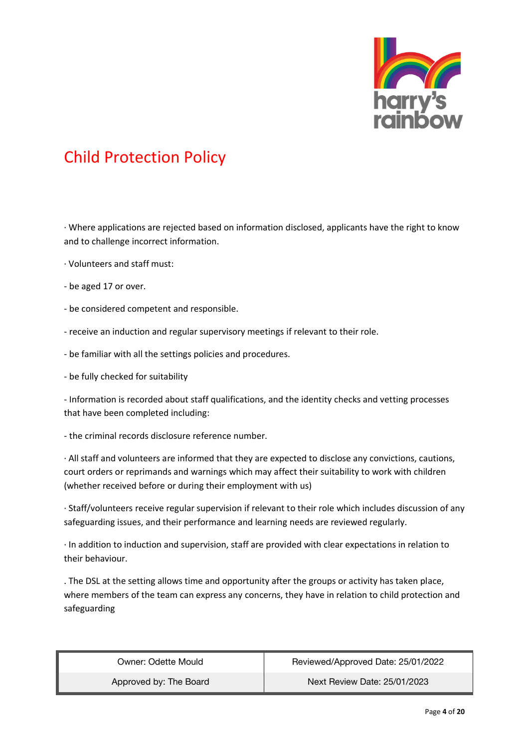

· Where applications are rejected based on information disclosed, applicants have the right to know and to challenge incorrect information.

- · Volunteers and staff must:
- be aged 17 or over.
- be considered competent and responsible.
- receive an induction and regular supervisory meetings if relevant to their role.
- be familiar with all the settings policies and procedures.
- be fully checked for suitability

- Information is recorded about staff qualifications, and the identity checks and vetting processes that have been completed including:

- the criminal records disclosure reference number.

· All staff and volunteers are informed that they are expected to disclose any convictions, cautions, court orders or reprimands and warnings which may affect their suitability to work with children (whether received before or during their employment with us)

· Staff/volunteers receive regular supervision if relevant to their role which includes discussion of any safeguarding issues, and their performance and learning needs are reviewed regularly.

· In addition to induction and supervision, staff are provided with clear expectations in relation to their behaviour.

. The DSL at the setting allows time and opportunity after the groups or activity has taken place, where members of the team can express any concerns, they have in relation to child protection and safeguarding

| Owner: Odette Mould    | Reviewed/Approved Date: 25/01/2022 |
|------------------------|------------------------------------|
| Approved by: The Board | Next Review Date: 25/01/2023       |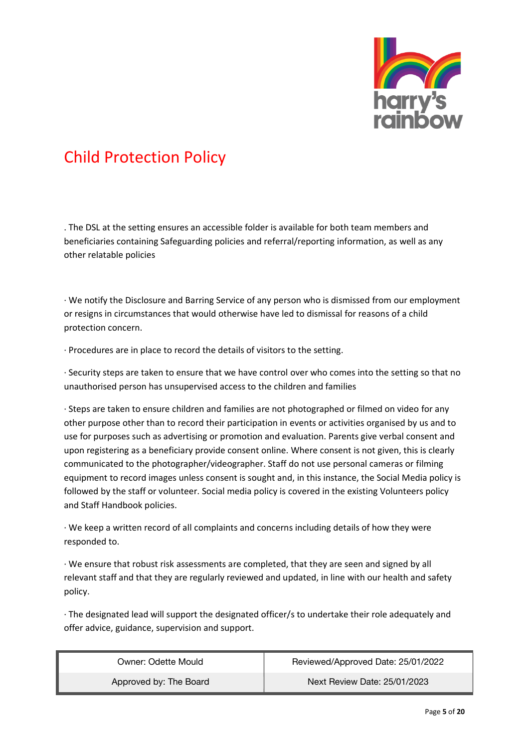

. The DSL at the setting ensures an accessible folder is available for both team members and beneficiaries containing Safeguarding policies and referral/reporting information, as well as any other relatable policies

· We notify the Disclosure and Barring Service of any person who is dismissed from our employment or resigns in circumstances that would otherwise have led to dismissal for reasons of a child protection concern.

· Procedures are in place to record the details of visitors to the setting.

· Security steps are taken to ensure that we have control over who comes into the setting so that no unauthorised person has unsupervised access to the children and families

· Steps are taken to ensure children and families are not photographed or filmed on video for any other purpose other than to record their participation in events or activities organised by us and to use for purposes such as advertising or promotion and evaluation. Parents give verbal consent and upon registering as a beneficiary provide consent online. Where consent is not given, this is clearly communicated to the photographer/videographer. Staff do not use personal cameras or filming equipment to record images unless consent is sought and, in this instance, the Social Media policy is followed by the staff or volunteer. Social media policy is covered in the existing Volunteers policy and Staff Handbook policies.

· We keep a written record of all complaints and concerns including details of how they were responded to.

· We ensure that robust risk assessments are completed, that they are seen and signed by all relevant staff and that they are regularly reviewed and updated, in line with our health and safety policy.

· The designated lead will support the designated officer/s to undertake their role adequately and offer advice, guidance, supervision and support.

| Owner: Odette Mould    | Reviewed/Approved Date: 25/01/2022 |
|------------------------|------------------------------------|
| Approved by: The Board | Next Review Date: 25/01/2023       |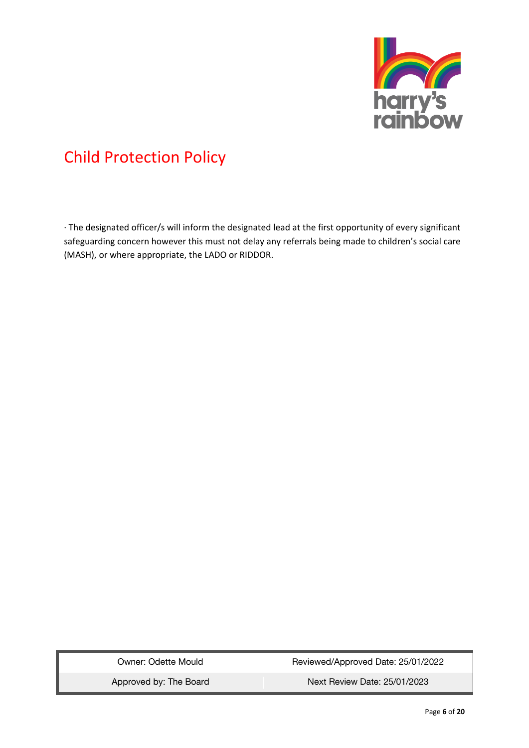

· The designated officer/s will inform the designated lead at the first opportunity of every significant safeguarding concern however this must not delay any referrals being made to children's social care (MASH), or where appropriate, the LADO or RIDDOR.

| Owner: Odette Mould    | Reviewed/Approved Date: 25/01/2022 |
|------------------------|------------------------------------|
| Approved by: The Board | Next Review Date: 25/01/2023       |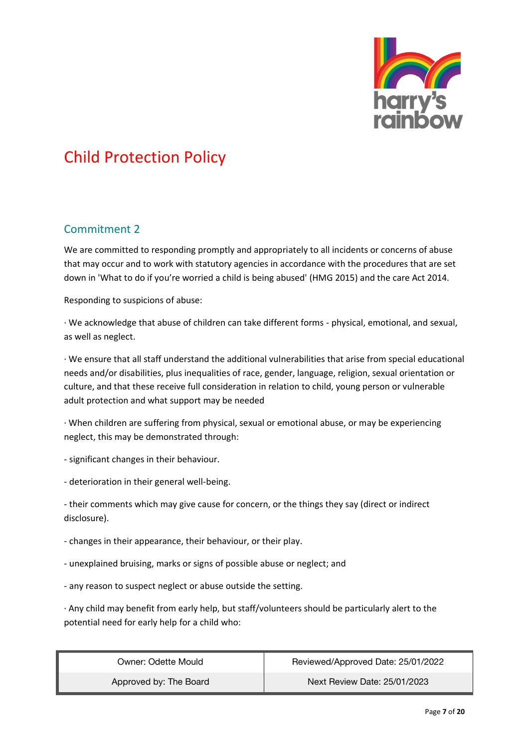

#### Commitment 2

We are committed to responding promptly and appropriately to all incidents or concerns of abuse that may occur and to work with statutory agencies in accordance with the procedures that are set down in 'What to do if you're worried a child is being abused' (HMG 2015) and the care Act 2014.

Responding to suspicions of abuse:

· We acknowledge that abuse of children can take different forms - physical, emotional, and sexual, as well as neglect.

· We ensure that all staff understand the additional vulnerabilities that arise from special educational needs and/or disabilities, plus inequalities of race, gender, language, religion, sexual orientation or culture, and that these receive full consideration in relation to child, young person or vulnerable adult protection and what support may be needed

· When children are suffering from physical, sexual or emotional abuse, or may be experiencing neglect, this may be demonstrated through:

- significant changes in their behaviour.
- deterioration in their general well-being.

- their comments which may give cause for concern, or the things they say (direct or indirect disclosure).

- changes in their appearance, their behaviour, or their play.
- unexplained bruising, marks or signs of possible abuse or neglect; and
- any reason to suspect neglect or abuse outside the setting.

· Any child may benefit from early help, but staff/volunteers should be particularly alert to the potential need for early help for a child who:

| Owner: Odette Mould    | Reviewed/Approved Date: 25/01/2022 |
|------------------------|------------------------------------|
| Approved by: The Board | Next Review Date: 25/01/2023       |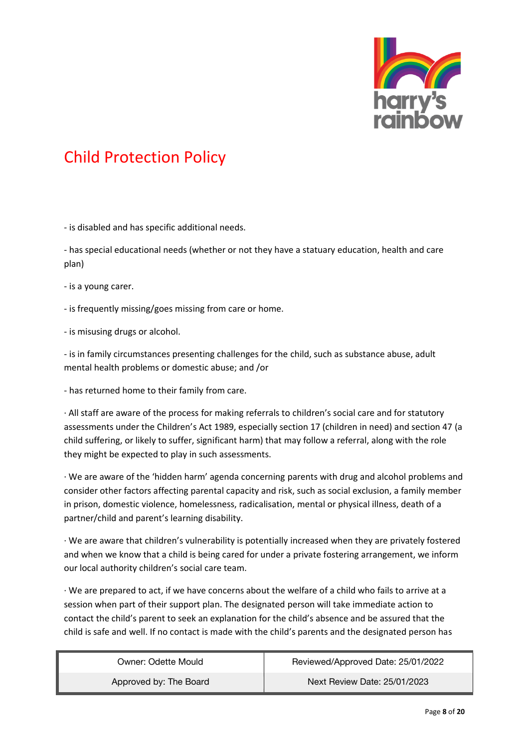

- is disabled and has specific additional needs.

- has special educational needs (whether or not they have a statuary education, health and care plan)

- is a young carer.

- is frequently missing/goes missing from care or home.

- is misusing drugs or alcohol.

- is in family circumstances presenting challenges for the child, such as substance abuse, adult mental health problems or domestic abuse; and /or

- has returned home to their family from care.

· All staff are aware of the process for making referrals to children's social care and for statutory assessments under the Children's Act 1989, especially section 17 (children in need) and section 47 (a child suffering, or likely to suffer, significant harm) that may follow a referral, along with the role they might be expected to play in such assessments.

· We are aware of the 'hidden harm' agenda concerning parents with drug and alcohol problems and consider other factors affecting parental capacity and risk, such as social exclusion, a family member in prison, domestic violence, homelessness, radicalisation, mental or physical illness, death of a partner/child and parent's learning disability.

· We are aware that children's vulnerability is potentially increased when they are privately fostered and when we know that a child is being cared for under a private fostering arrangement, we inform our local authority children's social care team.

· We are prepared to act, if we have concerns about the welfare of a child who fails to arrive at a session when part of their support plan. The designated person will take immediate action to contact the child's parent to seek an explanation for the child's absence and be assured that the child is safe and well. If no contact is made with the child's parents and the designated person has

| Owner: Odette Mould    | Reviewed/Approved Date: 25/01/2022 |
|------------------------|------------------------------------|
| Approved by: The Board | Next Review Date: 25/01/2023       |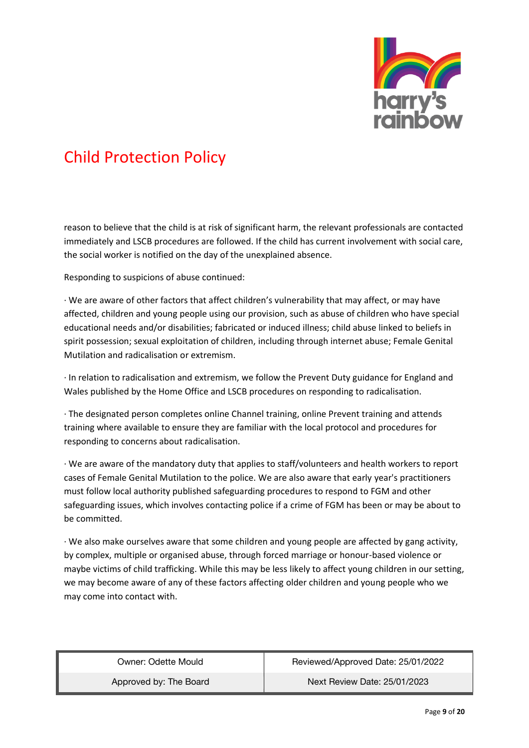

reason to believe that the child is at risk of significant harm, the relevant professionals are contacted immediately and LSCB procedures are followed. If the child has current involvement with social care, the social worker is notified on the day of the unexplained absence.

Responding to suspicions of abuse continued:

· We are aware of other factors that affect children's vulnerability that may affect, or may have affected, children and young people using our provision, such as abuse of children who have special educational needs and/or disabilities; fabricated or induced illness; child abuse linked to beliefs in spirit possession; sexual exploitation of children, including through internet abuse; Female Genital Mutilation and radicalisation or extremism.

· In relation to radicalisation and extremism, we follow the Prevent Duty guidance for England and Wales published by the Home Office and LSCB procedures on responding to radicalisation.

· The designated person completes online Channel training, online Prevent training and attends training where available to ensure they are familiar with the local protocol and procedures for responding to concerns about radicalisation.

· We are aware of the mandatory duty that applies to staff/volunteers and health workers to report cases of Female Genital Mutilation to the police. We are also aware that early year's practitioners must follow local authority published safeguarding procedures to respond to FGM and other safeguarding issues, which involves contacting police if a crime of FGM has been or may be about to be committed.

· We also make ourselves aware that some children and young people are affected by gang activity, by complex, multiple or organised abuse, through forced marriage or honour-based violence or maybe victims of child trafficking. While this may be less likely to affect young children in our setting, we may become aware of any of these factors affecting older children and young people who we may come into contact with.

| Owner: Odette Mould    | Reviewed/Approved Date: 25/01/2022 |
|------------------------|------------------------------------|
| Approved by: The Board | Next Review Date: 25/01/2023       |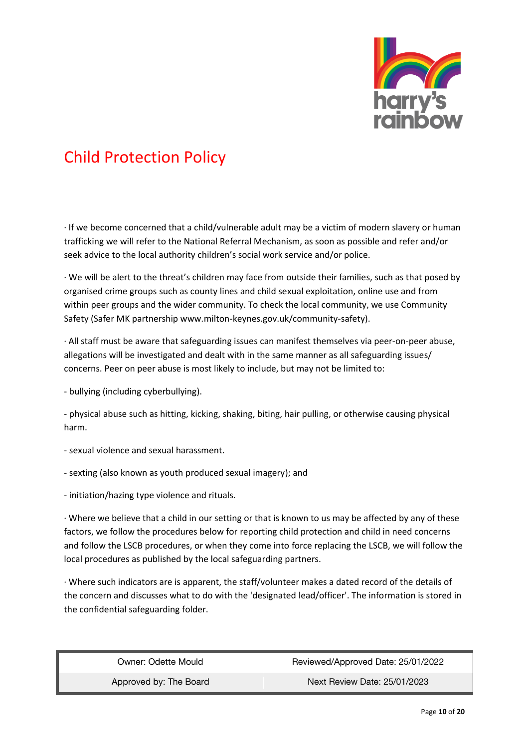

· If we become concerned that a child/vulnerable adult may be a victim of modern slavery or human trafficking we will refer to the National Referral Mechanism, as soon as possible and refer and/or seek advice to the local authority children's social work service and/or police.

· We will be alert to the threat's children may face from outside their families, such as that posed by organised crime groups such as county lines and child sexual exploitation, online use and from within peer groups and the wider community. To check the local community, we use Community Safety (Safer MK partnership www.milton-keynes.gov.uk/community-safety).

· All staff must be aware that safeguarding issues can manifest themselves via peer-on-peer abuse, allegations will be investigated and dealt with in the same manner as all safeguarding issues/ concerns. Peer on peer abuse is most likely to include, but may not be limited to:

- bullying (including cyberbullying).

- physical abuse such as hitting, kicking, shaking, biting, hair pulling, or otherwise causing physical harm.

- sexual violence and sexual harassment.
- sexting (also known as youth produced sexual imagery); and
- initiation/hazing type violence and rituals.

· Where we believe that a child in our setting or that is known to us may be affected by any of these factors, we follow the procedures below for reporting child protection and child in need concerns and follow the LSCB procedures, or when they come into force replacing the LSCB, we will follow the local procedures as published by the local safeguarding partners.

· Where such indicators are is apparent, the staff/volunteer makes a dated record of the details of the concern and discusses what to do with the 'designated lead/officer'. The information is stored in the confidential safeguarding folder.

| Owner: Odette Mould    | Reviewed/Approved Date: 25/01/2022 |
|------------------------|------------------------------------|
| Approved by: The Board | Next Review Date: 25/01/2023       |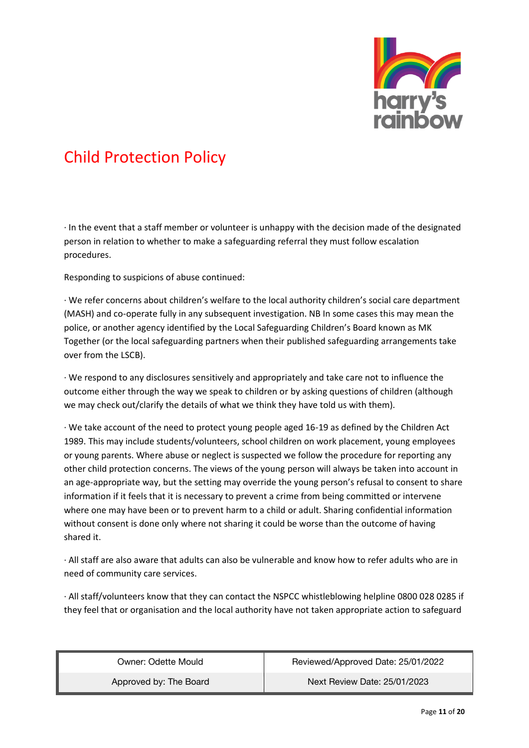

· In the event that a staff member or volunteer is unhappy with the decision made of the designated person in relation to whether to make a safeguarding referral they must follow escalation procedures.

Responding to suspicions of abuse continued:

· We refer concerns about children's welfare to the local authority children's social care department (MASH) and co-operate fully in any subsequent investigation. NB In some cases this may mean the police, or another agency identified by the Local Safeguarding Children's Board known as MK Together (or the local safeguarding partners when their published safeguarding arrangements take over from the LSCB).

· We respond to any disclosures sensitively and appropriately and take care not to influence the outcome either through the way we speak to children or by asking questions of children (although we may check out/clarify the details of what we think they have told us with them).

· We take account of the need to protect young people aged 16-19 as defined by the Children Act 1989. This may include students/volunteers, school children on work placement, young employees or young parents. Where abuse or neglect is suspected we follow the procedure for reporting any other child protection concerns. The views of the young person will always be taken into account in an age-appropriate way, but the setting may override the young person's refusal to consent to share information if it feels that it is necessary to prevent a crime from being committed or intervene where one may have been or to prevent harm to a child or adult. Sharing confidential information without consent is done only where not sharing it could be worse than the outcome of having shared it.

· All staff are also aware that adults can also be vulnerable and know how to refer adults who are in need of community care services.

· All staff/volunteers know that they can contact the NSPCC whistleblowing helpline 0800 028 0285 if they feel that or organisation and the local authority have not taken appropriate action to safeguard

| Owner: Odette Mould    | Reviewed/Approved Date: 25/01/2022 |
|------------------------|------------------------------------|
| Approved by: The Board | Next Review Date: 25/01/2023       |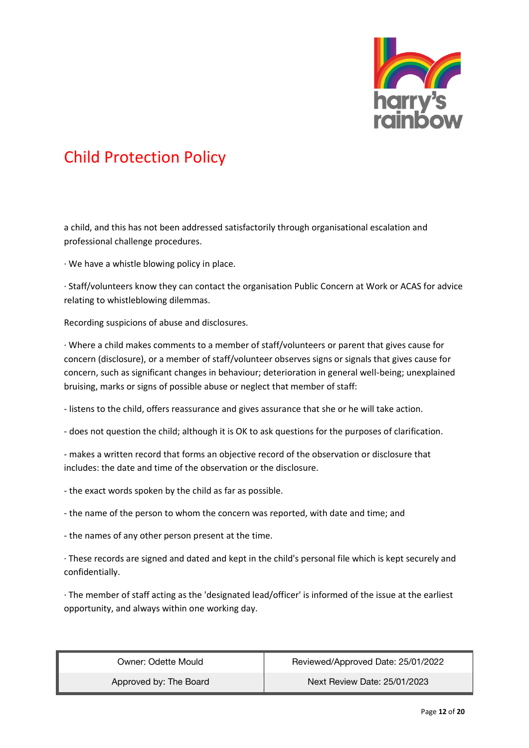

a child, and this has not been addressed satisfactorily through organisational escalation and professional challenge procedures.

· We have a whistle blowing policy in place.

· Staff/volunteers know they can contact the organisation Public Concern at Work or ACAS for advice relating to whistleblowing dilemmas.

Recording suspicions of abuse and disclosures.

· Where a child makes comments to a member of staff/volunteers or parent that gives cause for concern (disclosure), or a member of staff/volunteer observes signs or signals that gives cause for concern, such as significant changes in behaviour; deterioration in general well-being; unexplained bruising, marks or signs of possible abuse or neglect that member of staff:

- listens to the child, offers reassurance and gives assurance that she or he will take action.

- does not question the child; although it is OK to ask questions for the purposes of clarification.

- makes a written record that forms an objective record of the observation or disclosure that includes: the date and time of the observation or the disclosure.

- the exact words spoken by the child as far as possible.

- the name of the person to whom the concern was reported, with date and time; and

- the names of any other person present at the time.

· These records are signed and dated and kept in the child's personal file which is kept securely and confidentially.

· The member of staff acting as the 'designated lead/officer' is informed of the issue at the earliest opportunity, and always within one working day.

| Owner: Odette Mould    | Reviewed/Approved Date: 25/01/2022 |
|------------------------|------------------------------------|
| Approved by: The Board | Next Review Date: 25/01/2023       |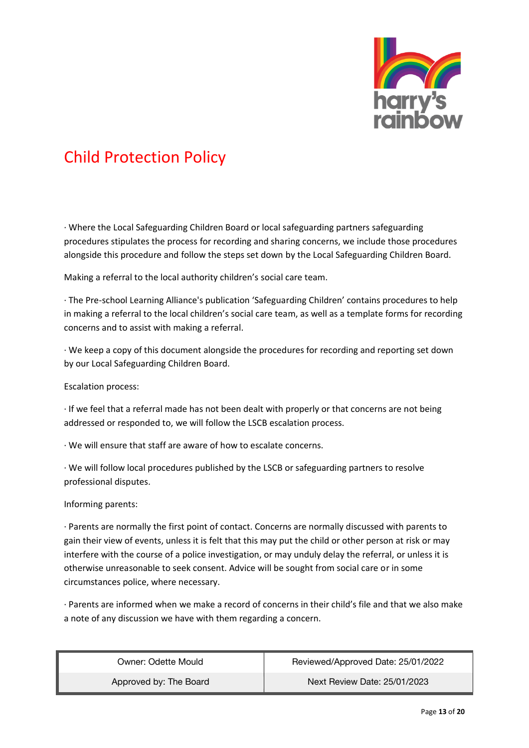

· Where the Local Safeguarding Children Board or local safeguarding partners safeguarding procedures stipulates the process for recording and sharing concerns, we include those procedures alongside this procedure and follow the steps set down by the Local Safeguarding Children Board.

Making a referral to the local authority children's social care team.

· The Pre-school Learning Alliance's publication 'Safeguarding Children' contains procedures to help in making a referral to the local children's social care team, as well as a template forms for recording concerns and to assist with making a referral.

· We keep a copy of this document alongside the procedures for recording and reporting set down by our Local Safeguarding Children Board.

Escalation process:

· If we feel that a referral made has not been dealt with properly or that concerns are not being addressed or responded to, we will follow the LSCB escalation process.

· We will ensure that staff are aware of how to escalate concerns.

· We will follow local procedures published by the LSCB or safeguarding partners to resolve professional disputes.

Informing parents:

· Parents are normally the first point of contact. Concerns are normally discussed with parents to gain their view of events, unless it is felt that this may put the child or other person at risk or may interfere with the course of a police investigation, or may unduly delay the referral, or unless it is otherwise unreasonable to seek consent. Advice will be sought from social care or in some circumstances police, where necessary.

· Parents are informed when we make a record of concerns in their child's file and that we also make a note of any discussion we have with them regarding a concern.

| Owner: Odette Mould    | Reviewed/Approved Date: 25/01/2022 |
|------------------------|------------------------------------|
| Approved by: The Board | Next Review Date: 25/01/2023       |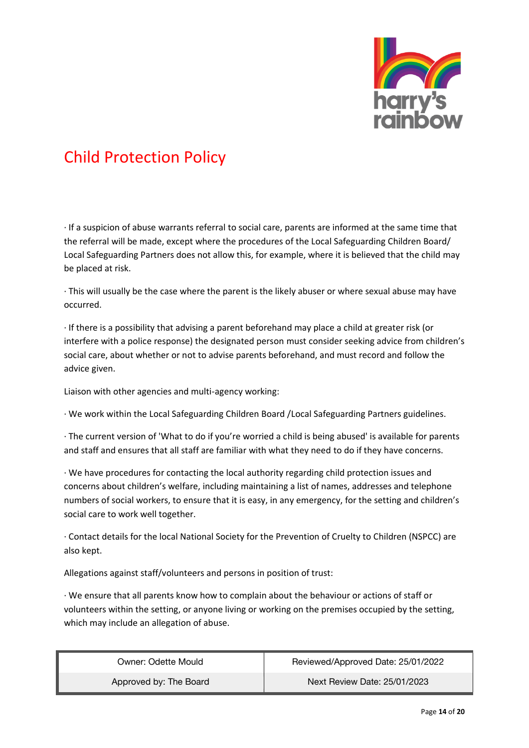

· If a suspicion of abuse warrants referral to social care, parents are informed at the same time that the referral will be made, except where the procedures of the Local Safeguarding Children Board/ Local Safeguarding Partners does not allow this, for example, where it is believed that the child may be placed at risk.

· This will usually be the case where the parent is the likely abuser or where sexual abuse may have occurred.

· If there is a possibility that advising a parent beforehand may place a child at greater risk (or interfere with a police response) the designated person must consider seeking advice from children's social care, about whether or not to advise parents beforehand, and must record and follow the advice given.

Liaison with other agencies and multi-agency working:

· We work within the Local Safeguarding Children Board /Local Safeguarding Partners guidelines.

· The current version of 'What to do if you're worried a child is being abused' is available for parents and staff and ensures that all staff are familiar with what they need to do if they have concerns.

· We have procedures for contacting the local authority regarding child protection issues and concerns about children's welfare, including maintaining a list of names, addresses and telephone numbers of social workers, to ensure that it is easy, in any emergency, for the setting and children's social care to work well together.

· Contact details for the local National Society for the Prevention of Cruelty to Children (NSPCC) are also kept.

Allegations against staff/volunteers and persons in position of trust:

· We ensure that all parents know how to complain about the behaviour or actions of staff or volunteers within the setting, or anyone living or working on the premises occupied by the setting, which may include an allegation of abuse.

| Owner: Odette Mould    | Reviewed/Approved Date: 25/01/2022 |
|------------------------|------------------------------------|
| Approved by: The Board | Next Review Date: 25/01/2023       |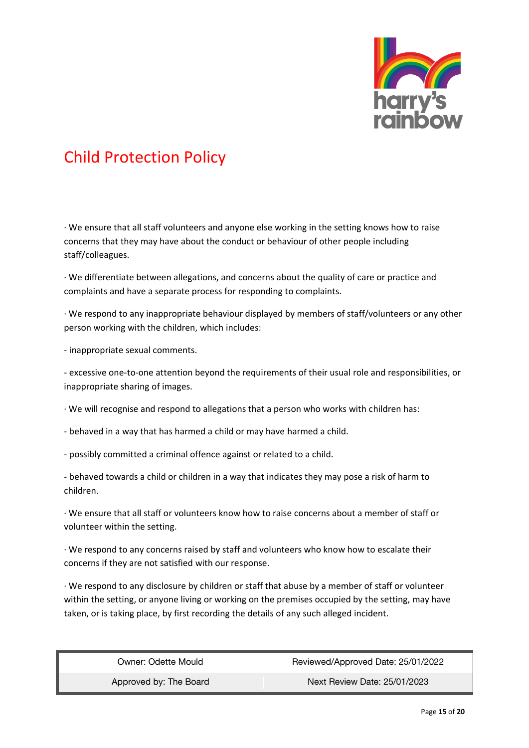

· We ensure that all staff volunteers and anyone else working in the setting knows how to raise concerns that they may have about the conduct or behaviour of other people including staff/colleagues.

· We differentiate between allegations, and concerns about the quality of care or practice and complaints and have a separate process for responding to complaints.

· We respond to any inappropriate behaviour displayed by members of staff/volunteers or any other person working with the children, which includes:

- inappropriate sexual comments.

- excessive one-to-one attention beyond the requirements of their usual role and responsibilities, or inappropriate sharing of images.

· We will recognise and respond to allegations that a person who works with children has:

- behaved in a way that has harmed a child or may have harmed a child.
- possibly committed a criminal offence against or related to a child.

- behaved towards a child or children in a way that indicates they may pose a risk of harm to children.

· We ensure that all staff or volunteers know how to raise concerns about a member of staff or volunteer within the setting.

· We respond to any concerns raised by staff and volunteers who know how to escalate their concerns if they are not satisfied with our response.

· We respond to any disclosure by children or staff that abuse by a member of staff or volunteer within the setting, or anyone living or working on the premises occupied by the setting, may have taken, or is taking place, by first recording the details of any such alleged incident.

| Owner: Odette Mould    | Reviewed/Approved Date: 25/01/2022 |
|------------------------|------------------------------------|
| Approved by: The Board | Next Review Date: 25/01/2023       |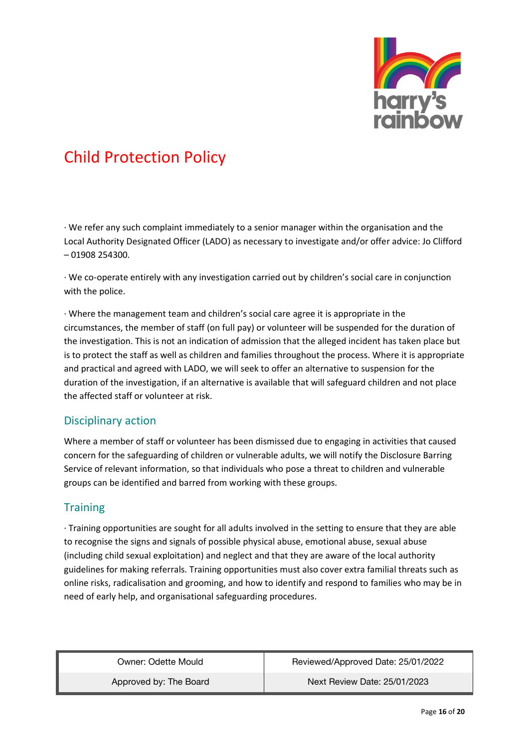

· We refer any such complaint immediately to a senior manager within the organisation and the Local Authority Designated Officer (LADO) as necessary to investigate and/or offer advice: Jo Clifford – 01908 254300.

· We co-operate entirely with any investigation carried out by children's social care in conjunction with the police.

· Where the management team and children's social care agree it is appropriate in the circumstances, the member of staff (on full pay) or volunteer will be suspended for the duration of the investigation. This is not an indication of admission that the alleged incident has taken place but is to protect the staff as well as children and families throughout the process. Where it is appropriate and practical and agreed with LADO, we will seek to offer an alternative to suspension for the duration of the investigation, if an alternative is available that will safeguard children and not place the affected staff or volunteer at risk.

#### Disciplinary action

Where a member of staff or volunteer has been dismissed due to engaging in activities that caused concern for the safeguarding of children or vulnerable adults, we will notify the Disclosure Barring Service of relevant information, so that individuals who pose a threat to children and vulnerable groups can be identified and barred from working with these groups.

#### **Training**

· Training opportunities are sought for all adults involved in the setting to ensure that they are able to recognise the signs and signals of possible physical abuse, emotional abuse, sexual abuse (including child sexual exploitation) and neglect and that they are aware of the local authority guidelines for making referrals. Training opportunities must also cover extra familial threats such as online risks, radicalisation and grooming, and how to identify and respond to families who may be in need of early help, and organisational safeguarding procedures.

| Owner: Odette Mould    | Reviewed/Approved Date: 25/01/2022 |
|------------------------|------------------------------------|
| Approved by: The Board | Next Review Date: 25/01/2023       |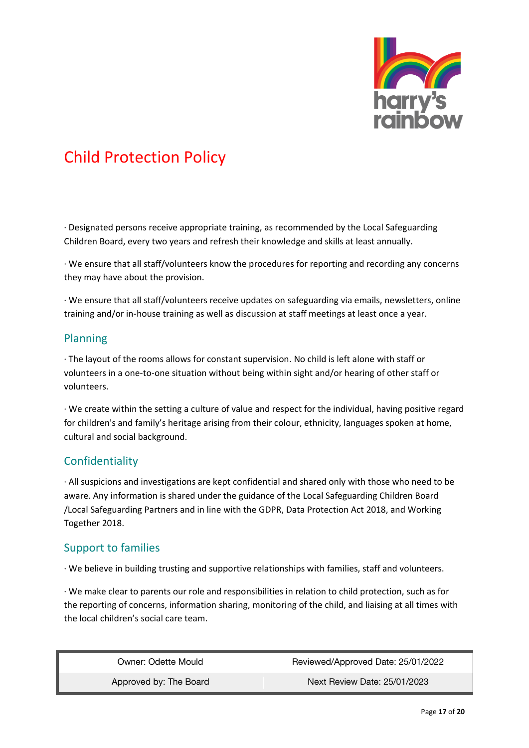

· Designated persons receive appropriate training, as recommended by the Local Safeguarding Children Board, every two years and refresh their knowledge and skills at least annually.

· We ensure that all staff/volunteers know the procedures for reporting and recording any concerns they may have about the provision.

· We ensure that all staff/volunteers receive updates on safeguarding via emails, newsletters, online training and/or in-house training as well as discussion at staff meetings at least once a year.

#### Planning

· The layout of the rooms allows for constant supervision. No child is left alone with staff or volunteers in a one-to-one situation without being within sight and/or hearing of other staff or volunteers.

· We create within the setting a culture of value and respect for the individual, having positive regard for children's and family's heritage arising from their colour, ethnicity, languages spoken at home, cultural and social background.

#### Confidentiality

· All suspicions and investigations are kept confidential and shared only with those who need to be aware. Any information is shared under the guidance of the Local Safeguarding Children Board /Local Safeguarding Partners and in line with the GDPR, Data Protection Act 2018, and Working Together 2018.

#### Support to families

· We believe in building trusting and supportive relationships with families, staff and volunteers.

· We make clear to parents our role and responsibilities in relation to child protection, such as for the reporting of concerns, information sharing, monitoring of the child, and liaising at all times with the local children's social care team.

| Owner: Odette Mould    | Reviewed/Approved Date: 25/01/2022 |
|------------------------|------------------------------------|
| Approved by: The Board | Next Review Date: 25/01/2023       |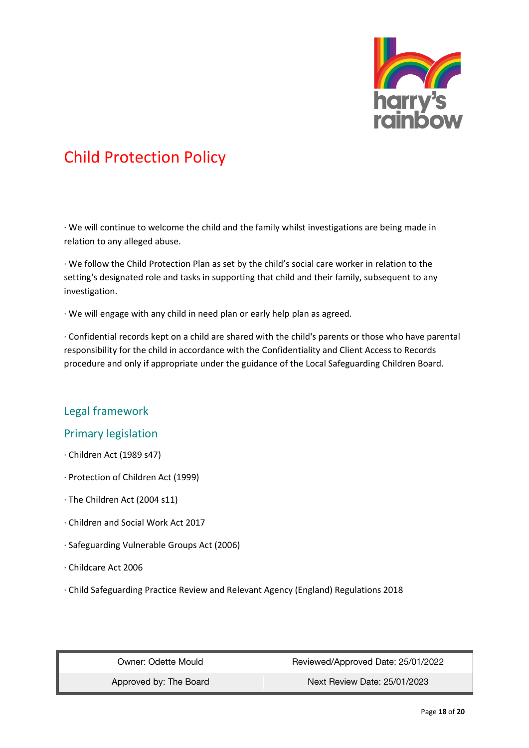

· We will continue to welcome the child and the family whilst investigations are being made in relation to any alleged abuse.

· We follow the Child Protection Plan as set by the child's social care worker in relation to the setting's designated role and tasks in supporting that child and their family, subsequent to any investigation.

· We will engage with any child in need plan or early help plan as agreed.

· Confidential records kept on a child are shared with the child's parents or those who have parental responsibility for the child in accordance with the Confidentiality and Client Access to Records procedure and only if appropriate under the guidance of the Local Safeguarding Children Board.

#### Legal framework

#### Primary legislation

- · Children Act (1989 s47)
- · Protection of Children Act (1999)
- · The Children Act (2004 s11)
- · Children and Social Work Act 2017
- · Safeguarding Vulnerable Groups Act (2006)
- · Childcare Act 2006
- · Child Safeguarding Practice Review and Relevant Agency (England) Regulations 2018

| Owner: Odette Mould    | Reviewed/Approved Date: 25/01/2022 |
|------------------------|------------------------------------|
| Approved by: The Board | Next Review Date: 25/01/2023       |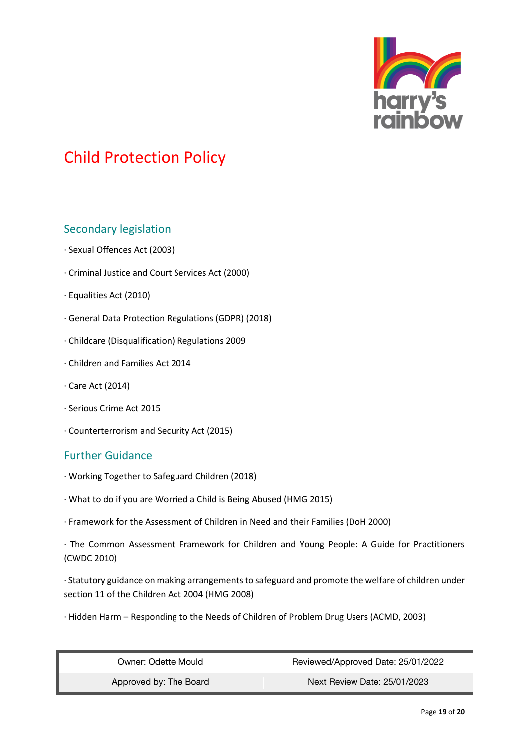

#### Secondary legislation

- · Sexual Offences Act (2003)
- · Criminal Justice and Court Services Act (2000)
- · Equalities Act (2010)
- · General Data Protection Regulations (GDPR) (2018)
- · Childcare (Disqualification) Regulations 2009
- · Children and Families Act 2014
- · Care Act (2014)
- · Serious Crime Act 2015
- · Counterterrorism and Security Act (2015)

#### Further Guidance

- · Working Together to Safeguard Children (2018)
- · What to do if you are Worried a Child is Being Abused (HMG 2015)
- · Framework for the Assessment of Children in Need and their Families (DoH 2000)

· The Common Assessment Framework for Children and Young People: A Guide for Practitioners (CWDC 2010)

· Statutory guidance on making arrangements to safeguard and promote the welfare of children under section 11 of the Children Act 2004 (HMG 2008)

· Hidden Harm – Responding to the Needs of Children of Problem Drug Users (ACMD, 2003)

| Owner: Odette Mould    | Reviewed/Approved Date: 25/01/2022 |
|------------------------|------------------------------------|
| Approved by: The Board | Next Review Date: 25/01/2023       |